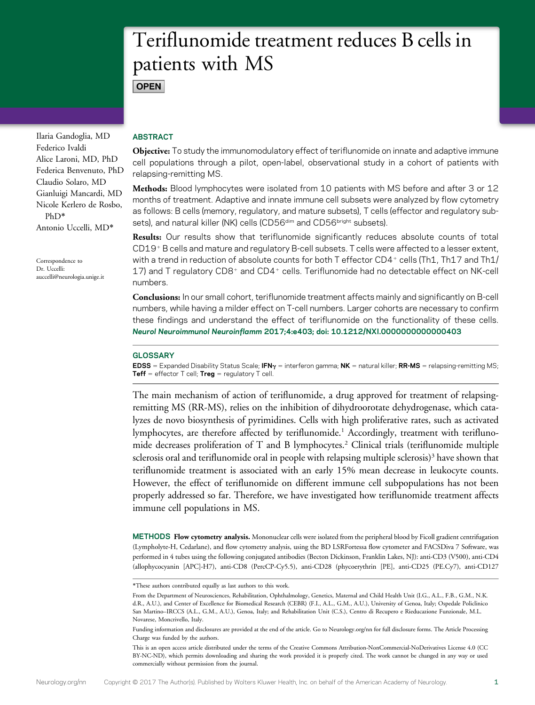# Teriflunomide treatment reduces B cells in patients with MS **OPEN**

Ilaria Gandoglia, MD Federico Ivaldi Alice Laroni, MD, PhD Federica Benvenuto, PhD Claudio Solaro, MD Gianluigi Mancardi, MD Nicole Kerlero de Rosbo, PhD\* Antonio Uccelli, MD\*

Correspondence to Dr. Uccelli: [auccelli@neurologia.unige.it](mailto:auccelli@neurologia.unige.it)

# ABSTRACT

Objective: To study the immunomodulatory effect of teriflunomide on innate and adaptive immune cell populations through a pilot, open-label, observational study in a cohort of patients with relapsing-remitting MS.

Methods: Blood lymphocytes were isolated from 10 patients with MS before and after 3 or 12 months of treatment. Adaptive and innate immune cell subsets were analyzed by flow cytometry as follows: B cells (memory, regulatory, and mature subsets), T cells (effector and regulatory subsets), and natural killer (NK) cells (CD56<sup>dim</sup> and CD56<sup>bright</sup> subsets).

Results: Our results show that teriflunomide significantly reduces absolute counts of total CD19<sup>+</sup> B cells and mature and regulatory B-cell subsets. T cells were affected to a lesser extent, with a trend in reduction of absolute counts for both T effector CD4<sup>+</sup> cells (Th1, Th17 and Th1/ 17) and T regulatory CD8<sup>+</sup> and CD4<sup>+</sup> cells. Teriflunomide had no detectable effect on NK-cell numbers.

Conclusions: In our small cohort, teriflunomide treatment affects mainly and significantly on B-cell numbers, while having a milder effect on T-cell numbers. Larger cohorts are necessary to confirm these findings and understand the effect of teriflunomide on the functionality of these cells. Neurol Neuroimmunol Neuroinflamm 2017;4:e403; doi: 10.1212/NXI.0000000000000403

# GLOSSARY

EDSS = Expanded Disability Status Scale; IFN $\gamma$  = interferon gamma; NK = natural killer; RR-MS = relapsing-remitting MS; **Teff** = effector T cell; **Treg** = regulatory T cell.

The main mechanism of action of teriflunomide, a drug approved for treatment of relapsingremitting MS (RR-MS), relies on the inhibition of dihydroorotate dehydrogenase, which catalyzes de novo biosynthesis of pyrimidines. Cells with high proliferative rates, such as activated lymphocytes, are therefore affected by teriflunomide.<sup>1</sup> Accordingly, treatment with teriflunomide decreases proliferation of T and B lymphocytes.<sup>2</sup> Clinical trials (teriflunomide multiple sclerosis oral and teriflunomide oral in people with relapsing multiple sclerosis)<sup>3</sup> have shown that teriflunomide treatment is associated with an early 15% mean decrease in leukocyte counts. However, the effect of teriflunomide on different immune cell subpopulations has not been properly addressed so far. Therefore, we have investigated how teriflunomide treatment affects immune cell populations in MS.

METHODS Flow cytometry analysis. Mononuclear cells were isolated from the peripheral blood by Ficoll gradient centrifugation (Lympholyte-H, Cedarlane), and flow cytometry analysis, using the BD LSRFortessa flow cytometer and FACSDiva 7 Software, was performed in 4 tubes using the following conjugated antibodies (Becton Dickinson, Franklin Lakes, NJ): anti-CD3 (V500), anti-CD4 (allophycocyanin [APC]-H7), anti-CD8 (PercCP-Cy5.5), anti-CD28 (phycoerythrin [PE], anti-CD25 (PE.Cy7), anti-CD127

<sup>\*</sup>These authors contributed equally as last authors to this work.

From the Department of Neurosciences, Rehabilitation, Ophthalmology, Genetics, Maternal and Child Health Unit (I.G., A.L., F.B., G.M., N.K. d.R., A.U.), and Center of Excellence for Biomedical Research (CEBR) (F.I., A.L., G.M., A.U.), University of Genoa, Italy; Ospedale Policlinico San Martino–IRCCS (A.L., G.M., A.U.), Genoa, Italy; and Rehabilitation Unit (C.S.), Centro di Recupero e Rieducazione Funzionale, M.L. Novarese, Moncrivello, Italy.

Funding information and disclosures are provided at the end of the article. Go to [Neurology.org/nn](http://nn.neurology.org/lookup/doi/10.1212/NXI.0000000000000403) for full disclosure forms. The Article Processing Charge was funded by the authors.

This is an open access article distributed under the terms of the [Creative Commons Attribution-NonCommercial-NoDerivatives License 4.0 \(CC](http://creativecommons.org/licenses/by-nc-nd/4.0/) [BY-NC-ND\)](http://creativecommons.org/licenses/by-nc-nd/4.0/), which permits downloading and sharing the work provided it is properly cited. The work cannot be changed in any way or used commercially without permission from the journal.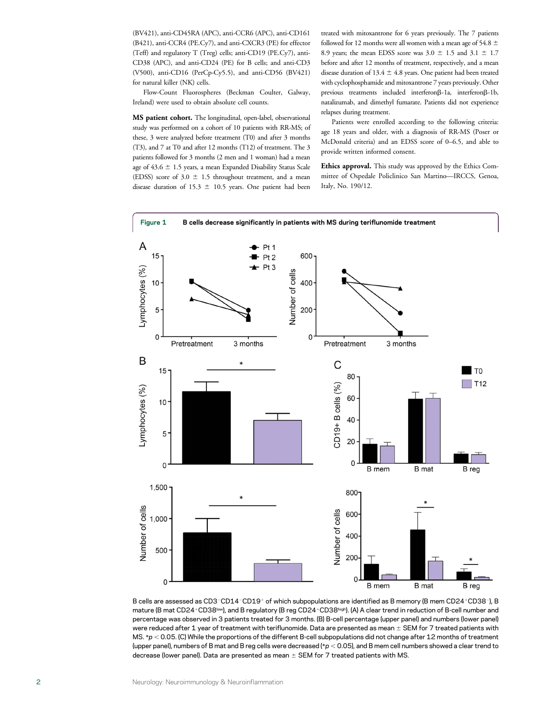(BV421), anti-CD45RA (APC), anti-CCR6 (APC), anti-CD161 (B421), anti-CCR4 (PE.Cy7), and anti-CXCR3 (PE) for effector (Teff) and regulatory T (Treg) cells; anti-CD19 (PE.Cy7), anti-CD38 (APC), and anti-CD24 (PE) for B cells; and anti-CD3 (V500), anti-CD16 (PerCp-Cy5.5), and anti-CD56 (BV421) for natural killer (NK) cells.

Flow-Count Fluorospheres (Beckman Coulter, Galway, Ireland) were used to obtain absolute cell counts.

MS patient cohort. The longitudinal, open-label, observational study was performed on a cohort of 10 patients with RR-MS; of these, 3 were analyzed before treatment (T0) and after 3 months (T3), and 7 at T0 and after 12 months (T12) of treatment. The 3 patients followed for 3 months (2 men and 1 woman) had a mean age of  $43.6 \pm 1.5$  years, a mean Expanded Disability Status Scale (EDSS) score of  $3.0 \pm 1.5$  throughout treatment, and a mean disease duration of 15.3  $\pm$  10.5 years. One patient had been

treated with mitoxantrone for 6 years previously. The 7 patients followed for 12 months were all women with a mean age of 54.8  $\pm$ 8.9 years; the mean EDSS score was  $3.0 \pm 1.5$  and  $3.1 \pm 1.7$ before and after 12 months of treatment, respectively, and a mean disease duration of 13.4  $\pm$  4.8 years. One patient had been treated with cyclophosphamide and mitoxantrone 7 years previously. Other previous treatments included interferon $\beta$ -1a, interferon $\beta$ -1b, natalizumab, and dimethyl fumarate. Patients did not experience relapses during treatment.

Patients were enrolled according to the following criteria: age 18 years and older, with a diagnosis of RR-MS (Poser or McDonald criteria) and an EDSS score of 0–6.5, and able to provide written informed consent.

Ethics approval. This study was approved by the Ethics Committee of Ospedale Policlinico San Martino—IRCCS, Genoa, Italy, No. 190/12.



B cells are assessed as CD3-CD14-CD19+ of which subpopulations are identified as B memory (B mem CD24+CD38-), B mature (B mat CD24+CD38<sup>low</sup>), and B regulatory (B reg CD24+CD38high). (A) A clear trend in reduction of B-cell number and percentage was observed in 3 patients treated for 3 months. (B) B-cell percentage (upper panel) and numbers (lower panel) were reduced after 1 year of treatment with teriflunomide. Data are presented as mean  $\pm$  SEM for 7 treated patients with MS.  $*p < 0.05$ . (C) While the proportions of the different B-cell subpopulations did not change after 12 months of treatment (upper panel), numbers of B mat and B reg cells were decreased (\*p < 0.05), and B mem cell numbers showed a clear trend to decrease (lower panel). Data are presented as mean  $\pm$  SEM for 7 treated patients with MS.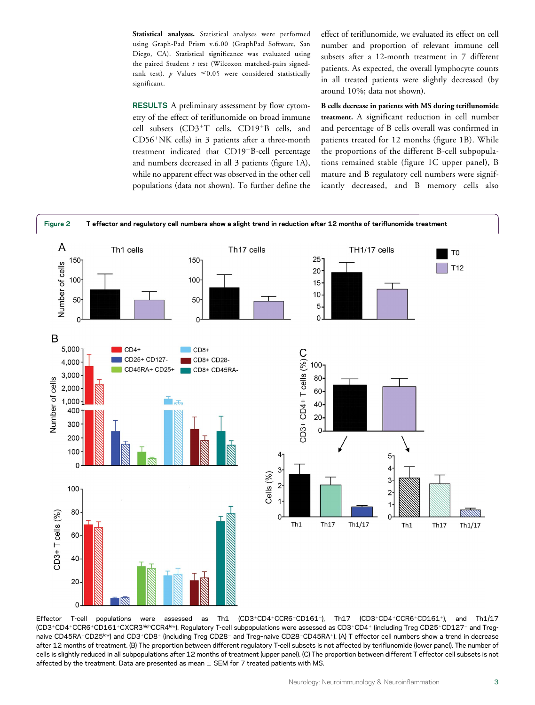Statistical analyses. Statistical analyses were performed using Graph-Pad Prism v.6.00 (GraphPad Software, San Diego, CA). Statistical significance was evaluated using the paired Student  $t$  test (Wilcoxon matched-pairs signedrank test).  $p$  Values  $\leq 0.05$  were considered statistically significant.

RESULTS A preliminary assessment by flow cytometry of the effect of teriflunomide on broad immune cell subsets  $(CD3+T)$  cells,  $CD19+B$  cells, and  $CD56+NK$  cells) in 3 patients after a three-month treatment indicated that CD19<sup>+</sup>B-cell percentage and numbers decreased in all 3 patients (figure 1A), while no apparent effect was observed in the other cell populations (data not shown). To further define the effect of teriflunomide, we evaluated its effect on cell number and proportion of relevant immune cell subsets after a 12-month treatment in 7 different patients. As expected, the overall lymphocyte counts in all treated patients were slightly decreased (by around 10%; data not shown).

B cells decrease in patients with MS during teriflunomide treatment. A significant reduction in cell number and percentage of B cells overall was confirmed in patients treated for 12 months (figure 1B). While the proportions of the different B-cell subpopulations remained stable (figure 1C upper panel), B mature and B regulatory cell numbers were significantly decreased, and B memory cells also



Effector T-cell populations were assessed as Th1 (CD3+CD4+CCR6-CD161-), Th17 (CD3+CD4+CCR6+CD161+), and Th1/17 (CD3+CD4+CCR6+CD161+CXCR3highCCR4low). Regulatory T-cell subpopulations were assessed as CD3+CD4+ (including Treg CD25+CD127- and Tregnaive CD45RA+CD25<sup>low</sup>) and CD3+CD8+ (including Treg CD28- and Treg-naive CD28-CD45RA+). (A) T effector cell numbers show a trend in decrease after 12 months of treatment. (B) The proportion between different regulatory T-cell subsets is not affected by teriflunomide (lower panel). The number of cells is slightly reduced in all subpopulations after 12 months of treatment (upper panel). (C) The proportion between different T effector cell subsets is not affected by the treatment. Data are presented as mean  $\pm$  SEM for 7 treated patients with MS.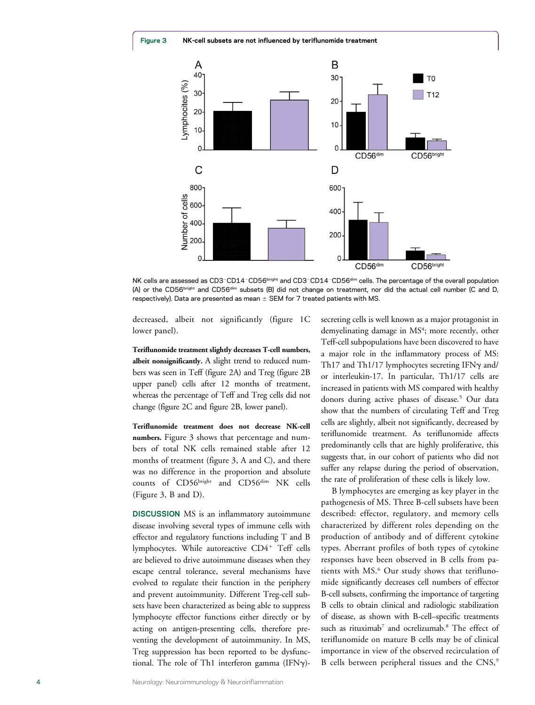Figure 3 NK-cell subsets are not influenced by teriflunomide treatment



NK cells are assessed as CD3-CD14-CD56bright and CD3-CD14-CD56dim cells. The percentage of the overall population (A) or the CD56bright and CD56dim subsets (B) did not change on treatment, nor did the actual cell number (C and D, respectively). Data are presented as mean  $\pm$  SEM for 7 treated patients with MS.

decreased, albeit not significantly (figure 1C lower panel).

Teriflunomide treatment slightly decreases T-cell numbers, albeit nonsignificantly. A slight trend to reduced numbers was seen in Teff (figure 2A) and Treg (figure 2B upper panel) cells after 12 months of treatment, whereas the percentage of Teff and Treg cells did not change (figure 2C and figure 2B, lower panel).

Teriflunomide treatment does not decrease NK-cell numbers. Figure 3 shows that percentage and numbers of total NK cells remained stable after 12 months of treatment (figure 3, A and C), and there was no difference in the proportion and absolute counts of CD56bright and CD56dim NK cells (Figure 3, B and D).

DISCUSSION MS is an inflammatory autoimmune disease involving several types of immune cells with effector and regulatory functions including T and B lymphocytes. While autoreactive  $CD4^+$  Teff cells are believed to drive autoimmune diseases when they escape central tolerance, several mechanisms have evolved to regulate their function in the periphery and prevent autoimmunity. Different Treg-cell subsets have been characterized as being able to suppress lymphocyte effector functions either directly or by acting on antigen-presenting cells, therefore preventing the development of autoimmunity. In MS, Treg suppression has been reported to be dysfunctional. The role of Th1 interferon gamma (IFN $\gamma$ )- secreting cells is well known as a major protagonist in demyelinating damage in MS<sup>4</sup>; more recently, other Teff-cell subpopulations have been discovered to have a major role in the inflammatory process of MS: Th17 and Th1/17 lymphocytes secreting IFN $\gamma$  and/ or interleukin-17. In particular, Th1/17 cells are increased in patients with MS compared with healthy donors during active phases of disease.<sup>5</sup> Our data show that the numbers of circulating Teff and Treg cells are slightly, albeit not significantly, decreased by teriflunomide treatment. As teriflunomide affects predominantly cells that are highly proliferative, this suggests that, in our cohort of patients who did not suffer any relapse during the period of observation, the rate of proliferation of these cells is likely low.

B lymphocytes are emerging as key player in the pathogenesis of MS. Three B-cell subsets have been described: effector, regulatory, and memory cells characterized by different roles depending on the production of antibody and of different cytokine types. Aberrant profiles of both types of cytokine responses have been observed in B cells from patients with MS.<sup>6</sup> Our study shows that teriflunomide significantly decreases cell numbers of effector B-cell subsets, confirming the importance of targeting B cells to obtain clinical and radiologic stabilization of disease, as shown with B-cell–specific treatments such as rituximab<sup>7</sup> and ocrelizumab.<sup>8</sup> The effect of teriflunomide on mature B cells may be of clinical importance in view of the observed recirculation of B cells between peripheral tissues and the CNS,<sup>9</sup>